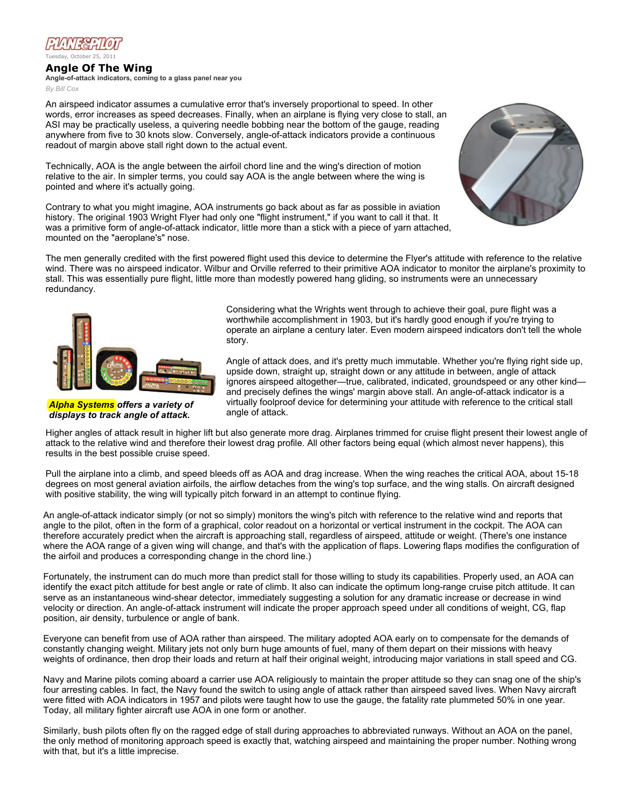

## Angle Of The Wing

Angle-of-attack indicators, coming to a glass panel near you *By Bill Cox*

An airspeed indicator assumes a cumulative error that's inversely proportional to speed. In other words, error increases as speed decreases. Finally, when an airplane is flying very close to stall, an ASI may be practically useless, a quivering needle bobbing near the bottom of the gauge, reading anywhere from five to 30 knots slow. Conversely, angle-of-attack indicators provide a continuous readout of margin above stall right down to the actual event.

Technically, AOA is the angle between the airfoil chord line and the wing's direction of motion relative to the air. In simpler terms, you could say AOA is the angle between where the wing is pointed and where it's actually going.

Contrary to what you might imagine, AOA instruments go back about as far as possible in aviation history. The original 1903 Wright Flyer had only one "flight instrument," if you want to call it that. It was a primitive form of angle-of-attack indicator, little more than a stick with a piece of yarn attached, mounted on the "aeroplane's" nose.



The men generally credited with the first powered flight used this device to determine the Flyer's attitude with reference to the relative wind. There was no airspeed indicator. Wilbur and Orville referred to their primitive AOA indicator to monitor the airplane's proximity to stall. This was essentially pure flight, little more than modestly powered hang gliding, so instruments were an unnecessary redundancy.



*Alpha Systems offers a variety of displays to track angle of attack.*

Considering what the Wrights went through to achieve their goal, pure flight was a worthwhile accomplishment in 1903, but it's hardly good enough if you're trying to operate an airplane a century later. Even modern airspeed indicators don't tell the whole story.

Angle of attack does, and it's pretty much immutable. Whether you're flying right side up, upside down, straight up, straight down or any attitude in between, angle of attack ignores airspeed altogether—true, calibrated, indicated, groundspeed or any other kind and precisely defines the wings' margin above stall. An angle-of-attack indicator is a virtually foolproof device for determining your attitude with reference to the critical stall angle of attack.

Higher angles of attack result in higher lift but also generate more drag. Airplanes trimmed for cruise flight present their lowest angle of attack to the relative wind and therefore their lowest drag profile. All other factors being equal (which almost never happens), this results in the best possible cruise speed.

Pull the airplane into a climb, and speed bleeds off as AOA and drag increase. When the wing reaches the critical AOA, about 15-18 degrees on most general aviation airfoils, the airflow detaches from the wing's top surface, and the wing stalls. On aircraft designed with positive stability, the wing will typically pitch forward in an attempt to continue flying.

An angle-of-attack indicator simply (or not so simply) monitors the wing's pitch with reference to the relative wind and reports that angle to the pilot, often in the form of a graphical, color readout on a horizontal or vertical instrument in the cockpit. The AOA can therefore accurately predict when the aircraft is approaching stall, regardless of airspeed, attitude or weight. (There's one instance where the AOA range of a given wing will change, and that's with the application of flaps. Lowering flaps modifies the configuration of the airfoil and produces a corresponding change in the chord line.)

Fortunately, the instrument can do much more than predict stall for those willing to study its capabilities. Properly used, an AOA can identify the exact pitch attitude for best angle or rate of climb. It also can indicate the optimum long-range cruise pitch attitude. It can serve as an instantaneous wind-shear detector, immediately suggesting a solution for any dramatic increase or decrease in wind velocity or direction. An angle-of-attack instrument will indicate the proper approach speed under all conditions of weight, CG, flap position, air density, turbulence or angle of bank.

Everyone can benefit from use of AOA rather than airspeed. The military adopted AOA early on to compensate for the demands of constantly changing weight. Military jets not only burn huge amounts of fuel, many of them depart on their missions with heavy weights of ordinance, then drop their loads and return at half their original weight, introducing major variations in stall speed and CG.

Navy and Marine pilots coming aboard a carrier use AOA religiously to maintain the proper attitude so they can snag one of the ship's four arresting cables. In fact, the Navy found the switch to using angle of attack rather than airspeed saved lives. When Navy aircraft were fitted with AOA indicators in 1957 and pilots were taught how to use the gauge, the fatality rate plummeted 50% in one year. Today, all military fighter aircraft use AOA in one form or another.

Similarly, bush pilots often fly on the ragged edge of stall during approaches to abbreviated runways. Without an AOA on the panel, the only method of monitoring approach speed is exactly that, watching airspeed and maintaining the proper number. Nothing wrong with that, but it's a little imprecise.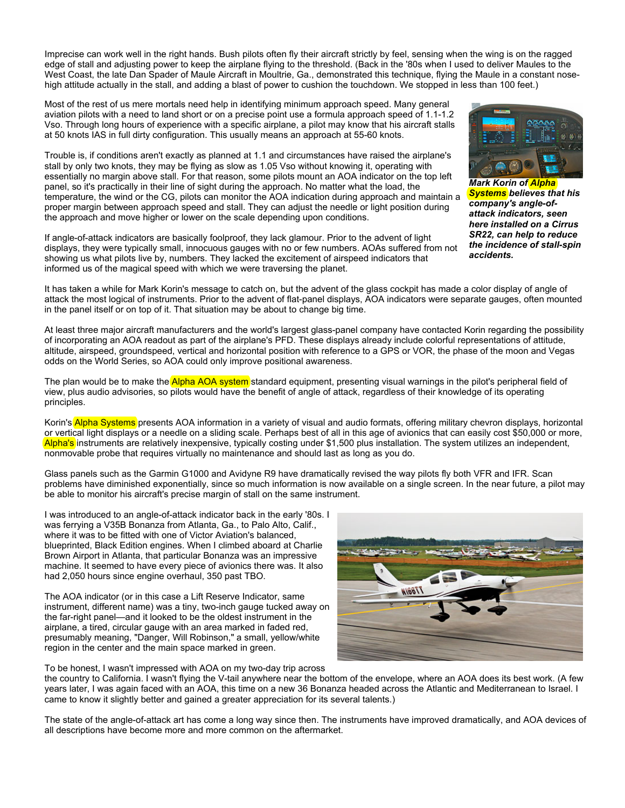West Coast, the late Dan Spader of Ma[ule](http://www.planeandpilotmag.com/proficiency/flight-training/angle-of-the-wing.html#) Aircraft in Moultrie, Ga., demonstrated this technique, flying the Maule in a consta[nt nos](http://www.planeandpilotmag.com/proficiency/flight-training/angle-of-the-wing.html#)e-Imprecise can work well in the right hands. Bush pilots often fly their aircraft strictly by feel, sensing when the wing is on the ragged edge of stall and adjusting power to keep the airplane flying to the threshold. (Back in the '80s when I used to deliver Maules to the high attitude actually in the stall, and adding a blast of power to cushion the touchdown. We stopped in less th[an 10](http://www.planeandpilotmag.com/proficiency/flight-training/angle-of-the-wing.html#)0 feet.)

Most of the rest of us mere mortals need help in identifying minimum approach speed. Many general aviation pilots with a need to land short or on a precise point use a formula approach speed of 1.1-1.2 Vso. Through long hours of experience with a specific airplane, a pilot may know that his aircraft stalls at 50 knots IAS in full dirty configuration. This usually means an approach at 55-60 knots.

Trouble is, if conditions aren't exactly as planned at 1.1 and circumstances have raised the airplane's stall by only two knots, they may be flying as slow as 1.05 Vso without knowing it, operating with essentially no margin above stall. For that reason, some pilots mount an AOA indicator on the top left panel, so it's practically in their line of sight during the approach. No matter what the load, the temperature, the wind or the CG, pilots can monitor the AOA indication during approach and maintain a proper margin between approach speed and stall. They can adjust the needle or light position during the approach and move higher or lower on the scale depending upon conditions.

If angle-of-attack indicators are basically foolproof, they lack glamour. Prior to the advent of light displays, they were typically small, innocuous gauges with no or few numbers. AOAs suffered from not showing us what pilots live by, numbers. They lacked the excitement of airspeed indicators that informed us of the magical speed with which we were traversing the planet.



*Mark Korin of Alpha Systems believes that his company's angle-ofattack indicators, seen here installed on a Cirrus SR22, can help to reduce the incidence of stall-spin accidents.*

It has taken a while for Mark Korin's message to catch on, but the advent of the glass cockpit has made a color display of angle of attack the most logical of instruments. Prior to the advent of flat-panel displays, AOA indicators were separate gauges, often mounted in the panel itself or on top of it. That situation may be about to change big time.

At least three major aircraft manufacturers and the world's largest glass-panel company have contacted Korin regarding the possibility of incorporating an AOA readout as part of the airplane's PFD. These displays already include colorful representations of attitude, altitude, airspeed, groundspeed, vertical and horizontal position with reference to a GPS or VOR, the phase of the moon and Vegas odds on the World Series, so AOA could only improve positional awareness.

The plan would be to make the Alpha AOA system standard equipment, presenting visual warnings in the pilot's peripheral field of view, plus audio advisories, so pilots would have the benefit of angle of attack, regardless of their knowledge of its operating principles.

Korin's Alpha Systems presents AOA information in a variety of visual and audio formats, offering military chevron displays, horizontal or vertical light displays or a needle on a sliding scale. Perhaps best of all in this age of avionics that can easily cost \$50,000 or more, Alpha's instruments are relatively inexpensive, typically costing under \$1,500 plus installation. The system utilizes an independent, nonmovable probe that requires virtually no maintenance and should last as long as you do.

Glass panels such as the Garmin G1000 and Avidyne R9 have dramatically revised the way pilots fly both VFR and IFR. Scan problems have diminished exponentially, since so much information is now available on a single screen. In the near future, a pilot may be able to monitor his aircraft's precise margin of stall on the same instrument.

I was introduced to an angle-of-attack indicator back in the early '80s. I was ferrying a V35B Bonanza from Atlanta, Ga., to Palo Alto, Calif., where it was to be fitted with one of Victor Aviation's balanced, blueprinted, Black Edition engines. When I climbed aboard at Charlie Brown Airport in Atlanta, that particular Bonanza was an impressive machine. It seemed to have every piece of avionics there was. It also had 2,050 hours since engine overhaul, 350 past TBO.

The AOA indicator (or in this case a Lift Reserve Indicator, same instrument, different name) was a tiny, two-inch gauge tucked away on the far-right panel—and it looked to be the oldest instrument in the airplane, a tired, circular gauge with an area marked in faded red, presumably meaning, "Danger, Will Robinson," a small, yellow/white region in the center and the main space marked in green.



To be honest, I wasn't impressed with AOA on my two-day trip across

the country to California. I wasn't flying the V-tail anywhere near the bottom of the envelope, where an AOA does its best work. (A few years later, I was again faced with an AOA, this time on a new 36 Bonanza headed across the Atlantic and Mediterranean to Israel. I came to know it slightly better and gained a greater appreciation for its several talents.)

The state of the angle-of-attack art has come a long way since then. The instruments have improved dramatically, and AOA devices of all descriptions have become more and more common on the aftermarket.